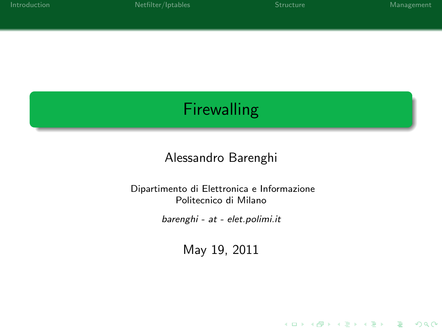K ロ ▶ K @ ▶ K 할 > K 할 > 1 할 > 1 이익어

## **Firewalling**

### Alessandro Barenghi

#### Dipartimento di Elettronica e Informazione Politecnico di Milano

barenghi - at - elet.polimi.it

May 19, 2011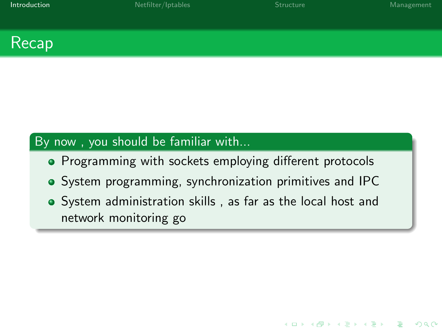**KORK STRATER STRACK** 



### By now , you should be familiar with...

- Programming with sockets employing different protocols
- System programming, synchronization primitives and IPC
- <span id="page-1-0"></span>System administration skills , as far as the local host and network monitoring go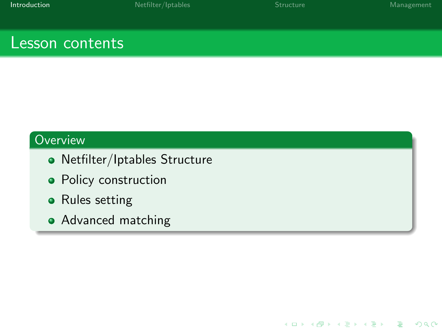K ロ ▶ K @ ▶ K 할 > K 할 > 1 할 > 1 이익어

### Lesson contents

### **Overview**

- Netfilter/Iptables Structure
- Policy construction
- Rules setting
- Advanced matching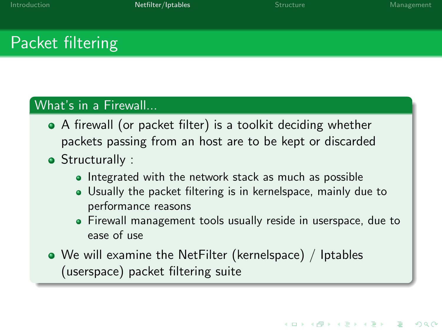## Packet filtering

#### What's in a Firewall...

- A firewall (or packet filter) is a toolkit deciding whether packets passing from an host are to be kept or discarded
- Structurally :
	- Integrated with the network stack as much as possible
	- Usually the packet filtering is in kernelspace, mainly due to performance reasons
	- Firewall management tools usually reside in userspace, due to ease of use
- <span id="page-3-0"></span>We will examine the NetFilter (kernelspace) / Iptables (userspace) packet filtering suite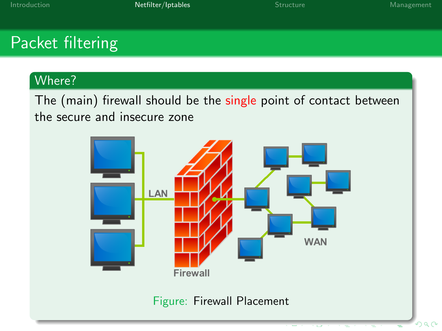# Packet filtering

### Where?

The (main) firewall should be the single point of contact between the secure and insecure zone

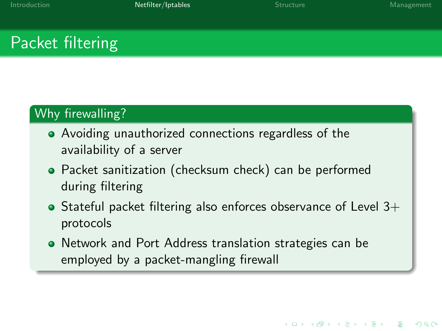## Packet filtering

### Why firewalling?

- Avoiding unauthorized connections regardless of the availability of a server
- Packet sanitization (checksum check) can be performed during filtering
- $\bullet$  Stateful packet filtering also enforces observance of Level 3+ protocols
- Network and Port Address translation strategies can be employed by a packet-mangling firewall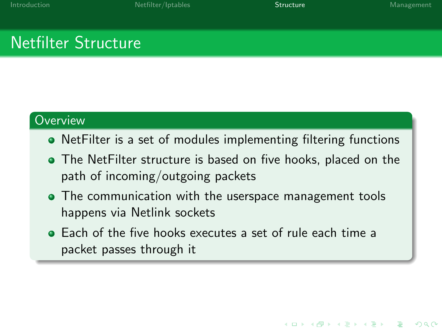**KORK STRAIN A BAR SHOP** 

## Netfilter Structure

#### **Overview**

- NetFilter is a set of modules implementing filtering functions
- The NetFilter structure is based on five hooks, placed on the path of incoming/outgoing packets
- The communication with the userspace management tools happens via Netlink sockets
- <span id="page-6-0"></span>Each of the five hooks executes a set of rule each time a packet passes through it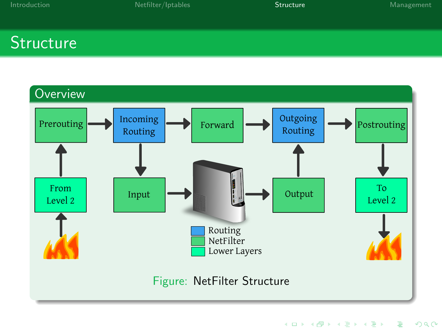K ロ ▶ K @ ▶ K 할 > K 할 > 1 할 > 1 이익어

## **Structure**

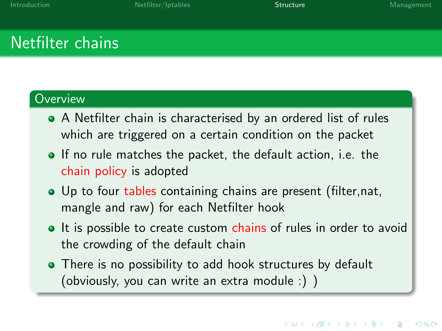## Netfilter chains

#### **Overview**

- A Netfilter chain is characterised by an ordered list of rules which are triggered on a certain condition on the packet
- If no rule matches the packet, the default action, i.e. the chain policy is adopted
- Up to four tables containing chains are present (filter,nat, mangle and raw) for each Netfilter hook
- It is possible to create custom chains of rules in order to avoid the crowding of the default chain
- There is no possibility to add hook structures by default (obviously, you can write an extra module :) )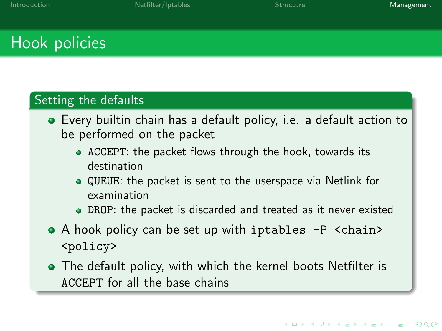## Hook policies

#### Setting the defaults

- Every builtin chain has a default policy, i.e. a default action to be performed on the packet
	- ACCEPT: the packet flows through the hook, towards its destination
	- $\bullet$  QUEUE: the packet is sent to the userspace via Netlink for examination
	- DROP: the packet is discarded and treated as it never existed
- A hook policy can be set up with iptables -P <chain> <policy>
- <span id="page-9-0"></span>The default policy, with which the kernel boots Netfilter is ACCEPT for all the base chains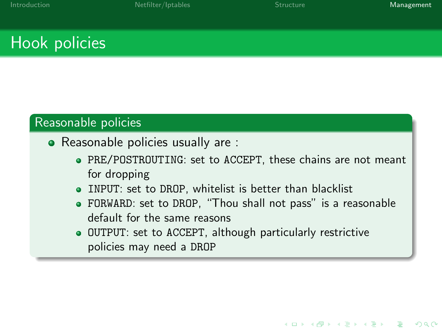## Hook policies

#### Reasonable policies

- Reasonable policies usually are :
	- PRE/POSTROUTING: set to ACCEPT, these chains are not meant for dropping
	- INPUT: set to DROP, whitelist is better than blacklist
	- FORWARD: set to DROP, "Thou shall not pass" is a reasonable default for the same reasons
	- OUTPUT: set to ACCEPT, although particularly restrictive policies may need a DROP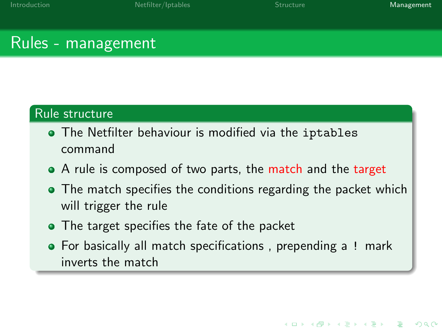**KORK STRAIN A BAR SHOP** 

### Rules - management

#### Rule structure

- The Netfilter behaviour is modified via the iptables command
- A rule is composed of two parts, the match and the target
- The match specifies the conditions regarding the packet which will trigger the rule
- The target specifies the fate of the packet
- For basically all match specifications, prepending a ! mark inverts the match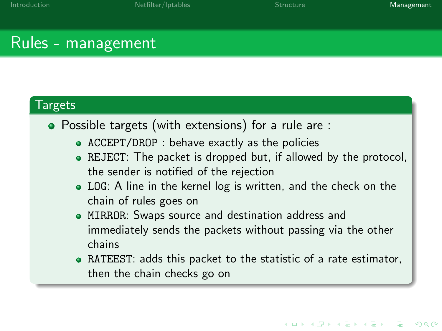### Rules - management

#### Targets

- Possible targets (with extensions) for a rule are :
	- ACCEPT/DROP : behave exactly as the policies
	- REJECT: The packet is dropped but, if allowed by the protocol, the sender is notified of the rejection
	- LOG: A line in the kernel log is written, and the check on the chain of rules goes on
	- MIRROR: Swaps source and destination address and immediately sends the packets without passing via the other chains
	- RATEEST: adds this packet to the statistic of a rate estimator, then the chain checks go on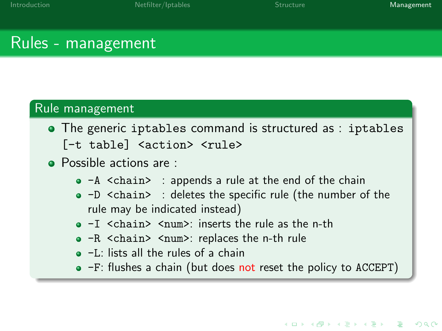**KORK STRAIN A BAR SHOP** 

### Rules - management

#### Rule management

- The generic iptables command is structured as : iptables [-t table] <action> <rule>
- **Possible actions are :** 
	- $\bullet$  -A  $\le$ chain> : appends a rule at the end of the chain
	- -D <chain> : deletes the specific rule (the number of the rule may be indicated instead)
	- $\bullet$  -I <chain> <num>: inserts the rule as the n-th
	- -R <chain> <num>: replaces the n-th rule
	- -L: lists all the rules of a chain
	- -F: flushes a chain (but does not reset the policy to ACCEPT)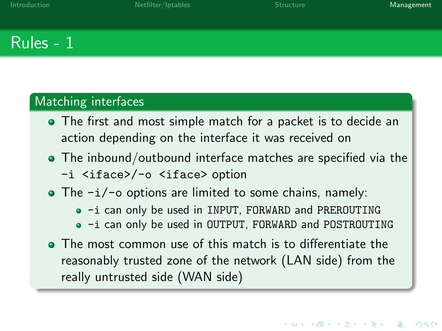K ロ ▶ K @ ▶ K 할 X X 할 X | 할 X 10 Q Q

### Rules - 1

#### Matching interfaces

- The first and most simple match for a packet is to decide an action depending on the interface it was received on
- The inbound/outbound interface matches are specified via the
	- -i <iface>/-o <iface> option
- $\bullet$  The  $-i$   $\circ$  options are limited to some chains, namely:
	- $\bullet$  -i can only be used in INPUT, FORWARD and PREROUTING
	- $\bullet$  -i can only be used in OUTPUT, FORWARD and POSTROUTING
- The most common use of this match is to differentiate the reasonably trusted zone of the network (LAN side) from the really untrusted side (WAN side)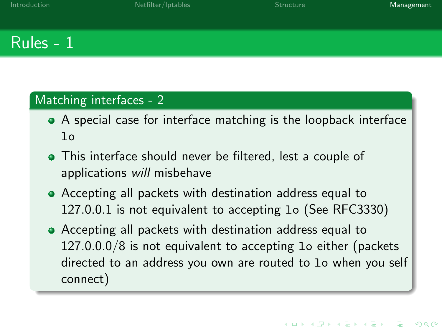## Rules - 1

#### Matching interfaces - 2

- A special case for interface matching is the loopback interface lo
- This interface should never be filtered, lest a couple of applications will misbehave
- Accepting all packets with destination address equal to 127.0.0.1 is not equivalent to accepting lo (See RFC3330)
- Accepting all packets with destination address equal to 127.0.0.0/8 is not equivalent to accepting lo either (packets directed to an address you own are routed to lo when you self connect)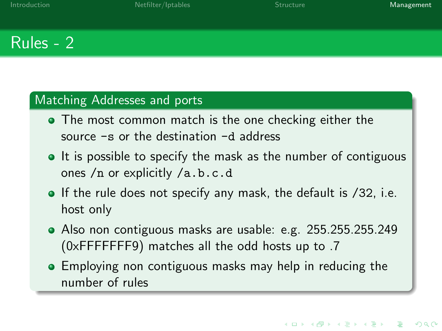## Rules - 2

#### Matching Addresses and ports

- The most common match is the one checking either the source -s or the destination -d address
- It is possible to specify the mask as the number of contiguous ones /n or explicitly /a.b.c.d
- If the rule does not specify any mask, the default is /32, i.e. host only
- Also non contiguous masks are usable: e.g. 255.255.255.249 (0xFFFFFFF9) matches all the odd hosts up to .7
- **•** Employing non contiguous masks may help in reducing the number of rules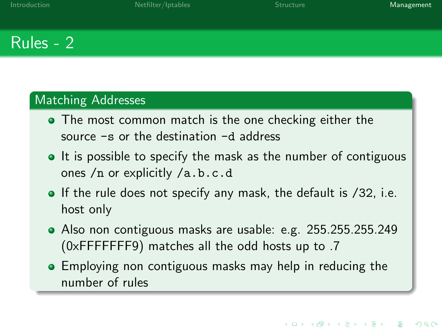**KORK STRAIN A BAR SHOP** 

## Rules - 2

#### Matching Addresses

- The most common match is the one checking either the source -s or the destination -d address
- It is possible to specify the mask as the number of contiguous ones /n or explicitly /a.b.c.d
- If the rule does not specify any mask, the default is /32, i.e. host only
- Also non contiguous masks are usable: e.g. 255.255.255.249 (0xFFFFFFF9) matches all the odd hosts up to .7
- **•** Employing non contiguous masks may help in reducing the number of rules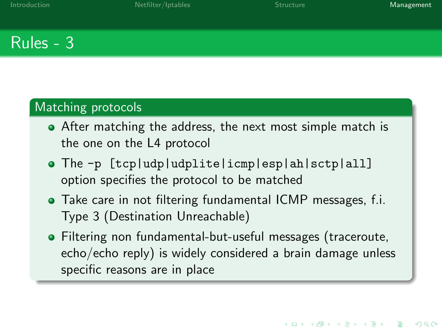### Rules - 3

### Matching protocols

- After matching the address, the next most simple match is the one on the L4 protocol
- The -p [tcp|udp|udplite|icmp|esp|ah|sctp|all] option specifies the protocol to be matched
- Take care in not filtering fundamental ICMP messages, f.i. Type 3 (Destination Unreachable)
- Filtering non fundamental-but-useful messages (traceroute, echo/echo reply) is widely considered a brain damage unless specific reasons are in place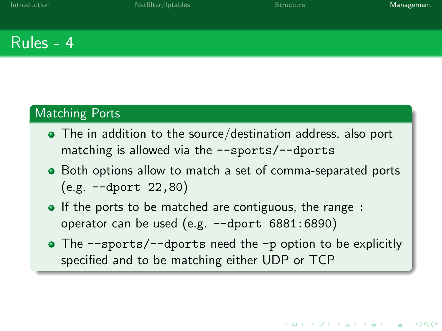### Rules - 4

#### Matching Ports

- The in addition to the source/destination address, also port matching is allowed via the --sports/--dports
- Both options allow to match a set of comma-separated ports (e.g. --dport 22,80)
- If the ports to be matched are contiguous, the range : operator can be used (e.g. --dport 6881:6890)
- The --sports/--dports need the -p option to be explicitly specified and to be matching either UDP or TCP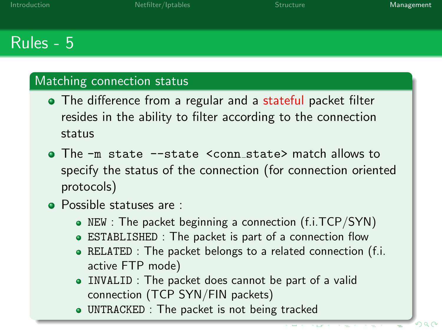## Rules - 5

#### Matching connection status

- The difference from a regular and a stateful packet filter resides in the ability to filter according to the connection status
- The -m state --state <conn\_state> match allows to specify the status of the connection (for connection oriented protocols)
- **Possible statuses are:** 
	- NEW : The packet beginning a connection (f.i.TCP/SYN)
	- ESTABLISHED : The packet is part of a connection flow
	- RELATED : The packet belongs to a related connection (f.i. active FTP mode)
	- INVALID : The packet does cannot be part of a valid connection (TCP SYN/FIN packets)
	- UNTRACKED : The packet is not being tracked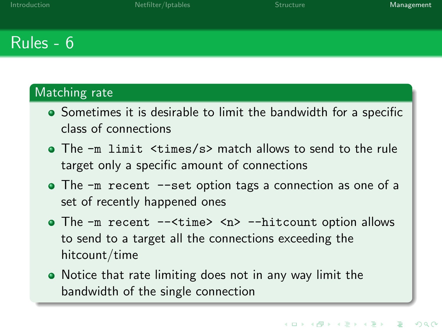## Rules - 6

### Matching rate

- Sometimes it is desirable to limit the bandwidth for a specific class of connections
- The -m limit <times/s> match allows to send to the rule target only a specific amount of connections
- The  $-m$  recent --set option tags a connection as one of a set of recently happened ones
- The -m recent --<time> <n> --hitcount option allows to send to a target all the connections exceeding the hitcount/time
- Notice that rate limiting does not in any way limit the bandwidth of the single connection